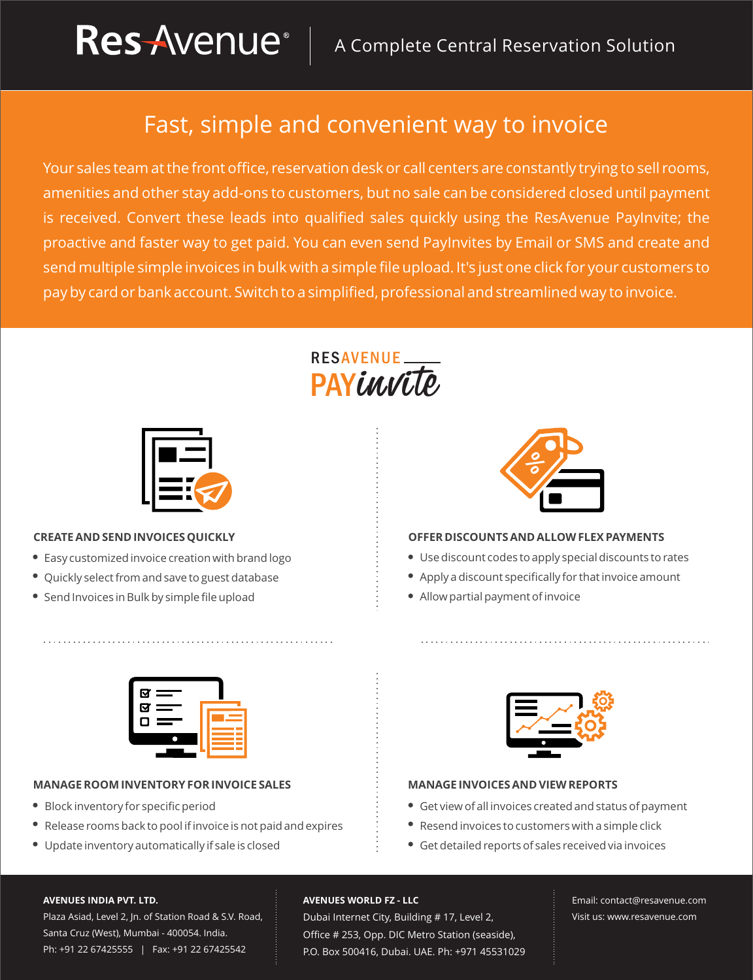### Fast, simple and convenient way to invoice

Your sales team at the front office, reservation desk or call centers are constantly trying to sell rooms, amenities and other stay add-ons to customers, but no sale can be considered closed until payment is received. Convert these leads into qualified sales quickly using the ResAvenue PayInvite; the proactive and faster way to get paid. You can even send PayInvites by Email or SMS and create and send multiple simple invoices in bulk with a simple file upload. It's just one click for your customers to pay by card or bank account. Switch to a simplified, professional and streamlined way to invoice.

# **PAYEAUE RESAVENUE**



#### **CREATE AND SEND INVOICES QUICKLY**

- Easy customized invoice creation with brand logo
- Quickly select from and save to guest database
- Send Invoices in Bulk by simple file upload



#### **OFFER DISCOUNTSAND ALLOWFLEXPAYMENTS**

- Use discount codes to apply special discounts to rates
- Apply a discount specifically for that invoice amount
- Allow partial payment of invoice



#### **MANAGEROOMINVENTORYFORINVOICE SALES**

- Block inventory for specific period
- Release rooms back to pool if invoice is not paid and expires
- Update inventory automatically if sale is closed



#### **MANAGE INVOICESAND VIEWREPORTS**

- Get view of all invoices created and status of payment
- Resend invoices to customers with a simple click
- Get detailed reports of sales received via invoices

#### **AVENUES INDIA PVT. LTD.**

Plaza Asiad, Level 2, Jn. of Station Road & S.V. Road, Santa Cruz (West), Mumbai - 400054. India. Ph: +91 22 67425555 | Fax: +91 22 67425542

#### **AVENUES WORLD FZ - LLC**

Dubai Internet City, Building # 17, Level 2, Office # 253, Opp. DIC Metro Station (seaside), P.O. Box 500416, Dubai. UAE. Ph: +971 45531029 Email: contact@resavenue.com Visit us: www.resavenue.com